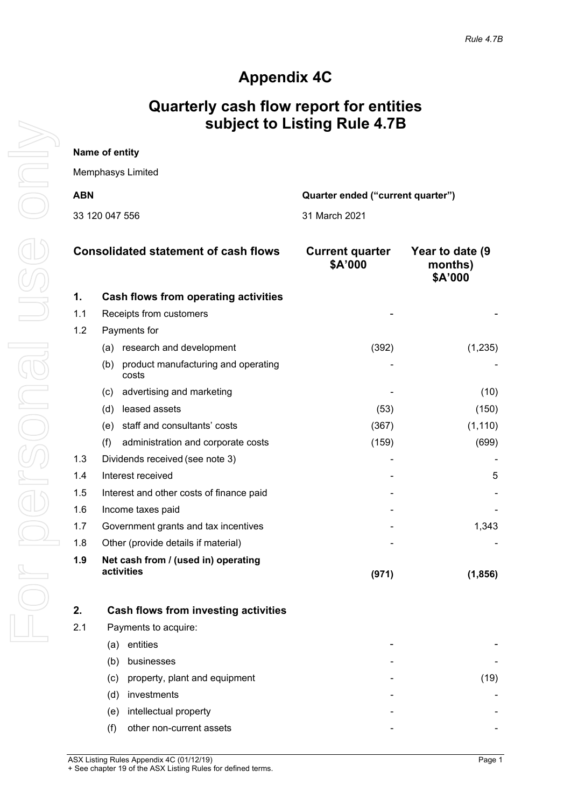## **Appendix 4C**

## **Quarterly cash flow report for entities subject to Listing Rule 4.7B**

| Name of entity                                  |               |  |  |
|-------------------------------------------------|---------------|--|--|
| Memphasys Limited                               |               |  |  |
| <b>ABN</b><br>Quarter ended ("current quarter") |               |  |  |
| 33 120 047 556                                  | 31 March 2021 |  |  |

|     | <b>Consolidated statement of cash flows</b><br><b>Current quarter</b><br>\$A'000 |       | Year to date (9<br>months)<br>\$A'000 |
|-----|----------------------------------------------------------------------------------|-------|---------------------------------------|
| 1.  | <b>Cash flows from operating activities</b>                                      |       |                                       |
| 1.1 | Receipts from customers                                                          |       |                                       |
| 1.2 | Payments for                                                                     |       |                                       |
|     | (a) research and development                                                     | (392) | (1, 235)                              |
|     | product manufacturing and operating<br>(b)<br>costs                              |       |                                       |
|     | advertising and marketing<br>(c)                                                 |       | (10)                                  |
|     | leased assets<br>(d)                                                             | (53)  | (150)                                 |
|     | staff and consultants' costs<br>(e)                                              | (367) | (1, 110)                              |
|     | (f)<br>administration and corporate costs                                        | (159) | (699)                                 |
| 1.3 | Dividends received (see note 3)                                                  |       |                                       |
| 1.4 | Interest received                                                                |       | 5                                     |
| 1.5 | Interest and other costs of finance paid                                         |       |                                       |
| 1.6 | Income taxes paid                                                                |       |                                       |
| 1.7 | Government grants and tax incentives                                             |       | 1,343                                 |
| 1.8 | Other (provide details if material)                                              |       |                                       |
| 1.9 | Net cash from / (used in) operating<br>activities                                | (971) | (1, 856)                              |

| 2.  | <b>Cash flows from investing activities</b> |   |          |
|-----|---------------------------------------------|---|----------|
| 2.1 | Payments to acquire:                        |   |          |
|     | entities<br>a)                              |   |          |
|     | businesses<br>b)                            | - |          |
|     | property, plant and equipment<br>(c)        | - | <u>g</u> |
|     | investments<br>(d)                          |   |          |
|     | intellectual property<br>(e)                |   |          |
|     | other non-current assets                    |   |          |
|     |                                             |   |          |

For personal use only USS Only For personal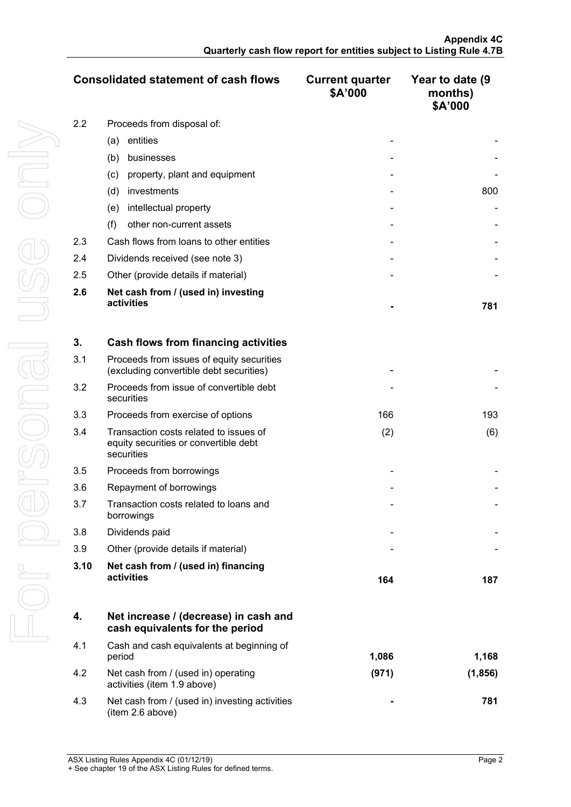|     | <b>Consolidated statement of cash flows</b>       | <b>Current quarter</b><br>\$A'000 | Year to date (9<br>months)<br>\$A'000 |
|-----|---------------------------------------------------|-----------------------------------|---------------------------------------|
| 2.2 | Proceeds from disposal of:                        |                                   |                                       |
|     | entities<br>(a)                                   |                                   |                                       |
|     | (b)<br>businesses                                 |                                   |                                       |
|     | property, plant and equipment<br>(c)              |                                   |                                       |
|     | investments<br>(d)                                |                                   | 800                                   |
|     | intellectual property<br>(e)                      |                                   |                                       |
|     | other non-current assets<br>(f)                   |                                   |                                       |
| 2.3 | Cash flows from loans to other entities           |                                   |                                       |
| 2.4 | Dividends received (see note 3)                   |                                   |                                       |
| 2.5 | Other (provide details if material)               |                                   |                                       |
| 2.6 | Net cash from / (used in) investing<br>activities |                                   | 781                                   |

| 3.   | Cash flows from financing activities                                                          |     |     |
|------|-----------------------------------------------------------------------------------------------|-----|-----|
| 3.1  | Proceeds from issues of equity securities<br>(excluding convertible debt securities)          |     |     |
| 3.2  | Proceeds from issue of convertible debt<br>securities                                         |     |     |
| 3.3  | Proceeds from exercise of options                                                             | 166 | 193 |
| 3.4  | Transaction costs related to issues of<br>equity securities or convertible debt<br>securities | (2) | (6) |
| 3.5  | Proceeds from borrowings                                                                      |     |     |
| 3.6  | Repayment of borrowings                                                                       |     |     |
| 3.7  | Transaction costs related to loans and<br>borrowings                                          |     |     |
| 3.8  | Dividends paid                                                                                |     |     |
| 3.9  | Other (provide details if material)                                                           |     |     |
| 3.10 | Net cash from / (used in) financing<br>activities                                             | 164 | 187 |

|     | Net increase / (decrease) in cash and<br>cash equivalents for the period |       |         |
|-----|--------------------------------------------------------------------------|-------|---------|
| 4.1 | Cash and cash equivalents at beginning of<br>period                      | 1.086 | 1,168   |
| 4.2 | Net cash from / (used in) operating<br>activities (item 1.9 above)       | (971) | (1.856) |
| 4.3 | Net cash from / (used in) investing activities<br>(item 2.6 above)       |       | 781     |

For personal use only For personal use onny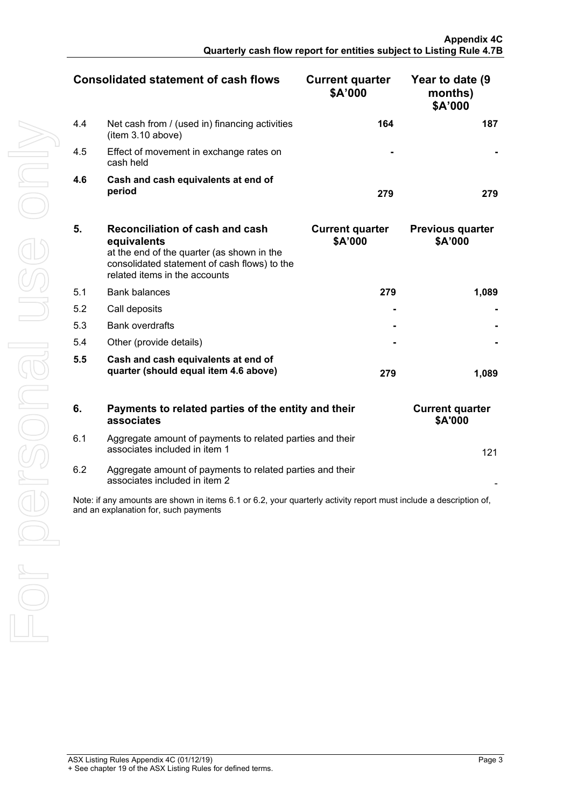| <b>Consolidated statement of cash flows</b> |                                                                     | <b>Current quarter</b><br>\$A'000 | Year to date (9<br>months)<br>\$A'000 |
|---------------------------------------------|---------------------------------------------------------------------|-----------------------------------|---------------------------------------|
| 4.4                                         | Net cash from / (used in) financing activities<br>(item 3.10 above) | 164                               |                                       |
| 4.5                                         | Effect of movement in exchange rates on<br>cash held                |                                   |                                       |
| 4.6                                         | Cash and cash equivalents at end of<br>period                       |                                   |                                       |

| 5.  | Reconciliation of cash and cash<br>equivalents<br>at the end of the quarter (as shown in the<br>consolidated statement of cash flows) to the<br>related items in the accounts | <b>Current quarter</b><br>\$A'000 | <b>Previous quarter</b><br>\$A'000 |
|-----|-------------------------------------------------------------------------------------------------------------------------------------------------------------------------------|-----------------------------------|------------------------------------|
| 5.1 | Bank balances                                                                                                                                                                 | 279                               | 1.089                              |
| 5.2 | Call deposits                                                                                                                                                                 |                                   |                                    |
| 5.3 | <b>Bank overdrafts</b>                                                                                                                                                        |                                   |                                    |
| 5.4 | Other (provide details)                                                                                                                                                       |                                   |                                    |
| 5.5 | Cash and cash equivalents at end of<br>quarter (should equal item 4.6 above)                                                                                                  | 279                               |                                    |

| 6.  | Payments to related parties of the entity and their<br>associates                          | <b>Current quarter</b><br><b>\$A'000</b> |
|-----|--------------------------------------------------------------------------------------------|------------------------------------------|
| 6.1 | Aggregate amount of payments to related parties and their<br>associates included in item 1 | 121                                      |
| 6.2 | Aggregate amount of payments to related parties and their                                  |                                          |

|  | <b>Current quarter</b><br>\$A'000 |     |
|--|-----------------------------------|-----|
|  |                                   | 121 |
|  |                                   |     |

Note: if any amounts are shown in items 6.1 or 6.2, your quarterly activity report must include a description of, and an explanation for, such payments

associates included in item 2 -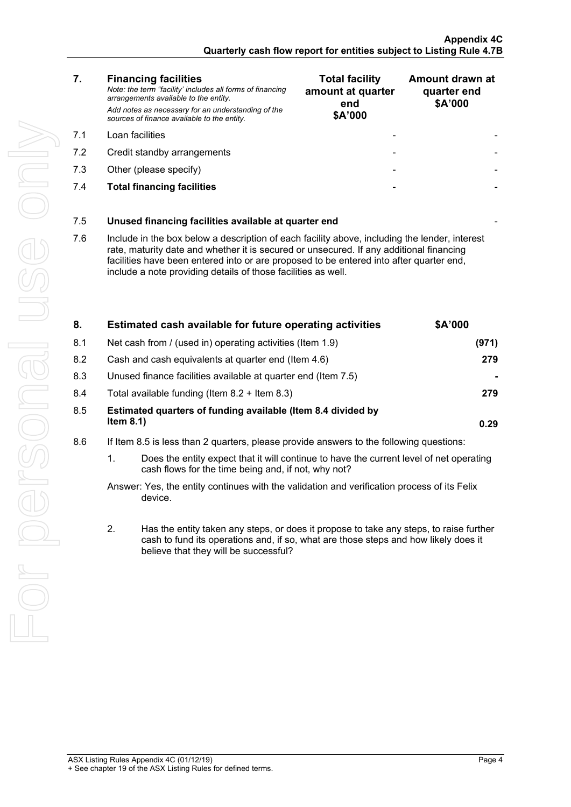*Note: the term "facility' includes all forms of financing arrangements available to the entity. Add notes as necessary for an understanding of the sources of finance available to the entity.*

- 7.1 Loan facilities
- 7.2 Credit standby arrangements
- 7.3 Other (please specify)
- **7.4 Total financing facilities**

| <b>Total facility</b><br>amount at quarter<br>end<br>\$A'000 | Amount drawn at<br>quarter end<br>\$A'000 |
|--------------------------------------------------------------|-------------------------------------------|
|                                                              |                                           |
|                                                              |                                           |
|                                                              |                                           |
|                                                              |                                           |

## 7.5 **Unused financing facilities available at quarter end** -

7.6 Include in the box below a description of each facility above, including the lender, interest rate, maturity date and whether it is secured or unsecured. If any additional financing facilities have been entered into or are proposed to be entered into after quarter end, include a note providing details of those facilities as well.

| Estimated cash available for future operating activities                     | <b>SA'000</b> |
|------------------------------------------------------------------------------|---------------|
| Net cash from / (used in) operating activities (Item 1.9)                    |               |
| Cash and cash equivalents at quarter end (Item 4.6)                          |               |
| Unused finance facilities available at quarter end (Item 7.5)                |               |
| Total available funding (Item $8.2 +$ Item $8.3$ )                           |               |
| Estimated quarters of funding available (Item 8.4 divided by<br>Item $8.1$ ) |               |
|                                                                              |               |

- 8.6 If Item 8.5 is less than 2 quarters, please provide answers to the following questions:
	- 1. Does the entity expect that it will continue to have the current level of net operating cash flows for the time being and, if not, why not?

Answer: Yes, the entity continues with the validation and verification process of its Felix device.

2. Has the entity taken any steps, or does it propose to take any steps, to raise further cash to fund its operations and, if so, what are those steps and how likely does it believe that they will be successful?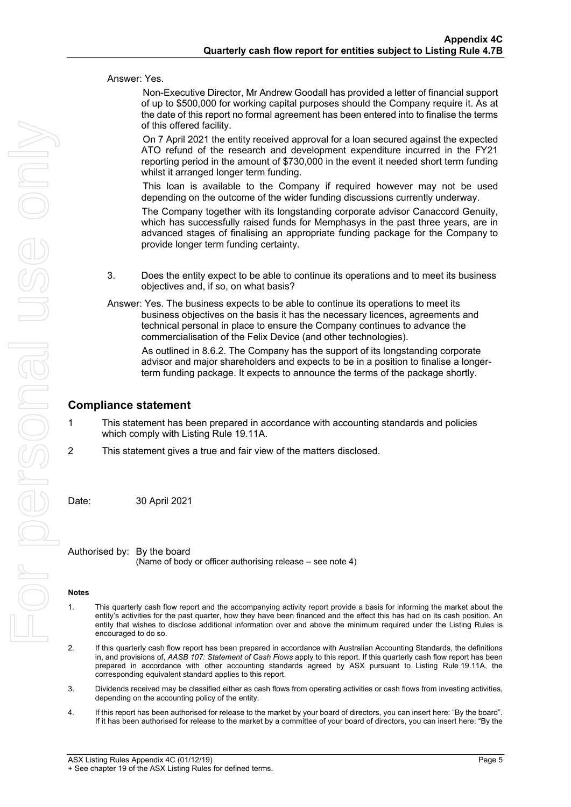|                |                      | Answer: Yes.                                                                                                                                                                                                                                                                                                                                                                  |
|----------------|----------------------|-------------------------------------------------------------------------------------------------------------------------------------------------------------------------------------------------------------------------------------------------------------------------------------------------------------------------------------------------------------------------------|
|                |                      | Non-Executive Director, Mr Andrew Goodall has provided a letter of financial support<br>of up to \$500,000 for working capital purposes should the Company require it. As at<br>the date of this report no formal agreement has been entered into to finalise the terms<br>of this offered facility.                                                                          |
| $\leq$         |                      | On 7 April 2021 the entity received approval for a loan secured against the expected<br>ATO refund of the research and development expenditure incurred in the FY21<br>reporting period in the amount of \$730,000 in the event it needed short term funding<br>whilst it arranged longer term funding.                                                                       |
|                |                      | This loan is available to the Company if required however may not be used<br>depending on the outcome of the wider funding discussions currently underway.                                                                                                                                                                                                                    |
|                |                      | The Company together with its longstanding corporate advisor Canaccord Genuity,<br>which has successfully raised funds for Memphasys in the past three years, are in<br>advanced stages of finalising an appropriate funding package for the Company to<br>provide longer term funding certainty.                                                                             |
|                |                      |                                                                                                                                                                                                                                                                                                                                                                               |
|                | 3.                   | Does the entity expect to be able to continue its operations and to meet its business<br>objectives and, if so, on what basis?                                                                                                                                                                                                                                                |
|                |                      | Answer: Yes. The business expects to be able to continue its operations to meet its<br>business objectives on the basis it has the necessary licences, agreements and<br>technical personal in place to ensure the Company continues to advance the<br>commercialisation of the Felix Device (and other technologies).                                                        |
|                |                      | As outlined in 8.6.2. The Company has the support of its longstanding corporate<br>advisor and major shareholders and expects to be in a position to finalise a longer-<br>term funding package. It expects to announce the terms of the package shortly.                                                                                                                     |
|                |                      | <b>Compliance statement</b>                                                                                                                                                                                                                                                                                                                                                   |
| 1              |                      | This statement has been prepared in accordance with accounting standards and policies<br>which comply with Listing Rule 19.11A.                                                                                                                                                                                                                                               |
| $\overline{2}$ |                      | This statement gives a true and fair view of the matters disclosed.                                                                                                                                                                                                                                                                                                           |
| Date:          |                      | 30 April 2021                                                                                                                                                                                                                                                                                                                                                                 |
|                |                      | Authorised by: By the board<br>(Name of body or officer authorising release – see note 4)                                                                                                                                                                                                                                                                                     |
| <b>Notes</b>   |                      |                                                                                                                                                                                                                                                                                                                                                                               |
| 1.             | encouraged to do so. | This quarterly cash flow report and the accompanying activity report provide a basis for informing the market about the<br>entity's activities for the past quarter, how they have been financed and the effect this has had on its cash position. An<br>entity that wishes to disclose additional information over and above the minimum required under the Listing Rules is |

encouraged to do so. 2. If this quarterly cash flow report has been prepared in accordance with Australian Accounting Standards, the definitions in, and provisions of, *AASB 107: Statement of Cash Flows* apply to this report. If this quarterly cash flow report has been prepared in accordance with other accounting standards agreed by ASX pursuant to Listing Rule 19.11A, the corresponding equivalent standard applies to this report.

- 3. Dividends received may be classified either as cash flows from operating activities or cash flows from investing activities, depending on the accounting policy of the entity.
- 4. If this report has been authorised for release to the market by your board of directors, you can insert here: "By the board". If it has been authorised for release to the market by a committee of your board of directors, you can insert here: "By the